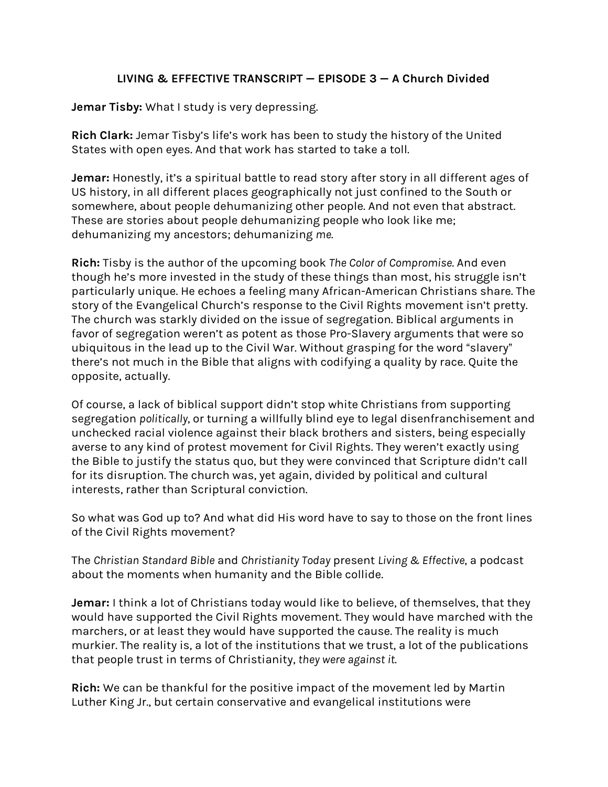# **LIVING & EFFECTIVE TRANSCRIPT — EPISODE 3 — A Church Divided**

**Jemar Tisby:** What I study is very depressing.

**Rich Clark:** Jemar Tisby's life's work has been to study the history of the United States with open eyes. And that work has started to take a toll.

**Jemar:** Honestly, it's a spiritual battle to read story after story in all different ages of US history, in all different places geographically not just confined to the South or somewhere, about people dehumanizing other people. And not even that abstract. These are stories about people dehumanizing people who look like me; dehumanizing my ancestors; dehumanizing *me*.

**Rich:** Tisby is the author of the upcoming book *The Color of Compromise*. And even though he's more invested in the study of these things than most, his struggle isn't particularly unique. He echoes a feeling many African-American Christians share. The story of the Evangelical Church's response to the Civil Rights movement isn't pretty. The church was starkly divided on the issue of segregation. Biblical arguments in favor of segregation weren't as potent as those Pro-Slavery arguments that were so ubiquitous in the lead up to the Civil War. Without grasping for the word "slavery" there's not much in the Bible that aligns with codifying a quality by race. Quite the opposite, actually.

Of course, a lack of biblical support didn't stop white Christians from supporting segregation *politically*, or turning a willfully blind eye to legal disenfranchisement and unchecked racial violence against their black brothers and sisters, being especially averse to any kind of protest movement for Civil Rights. They weren't exactly using the Bible to justify the status quo, but they were convinced that Scripture didn't call for its disruption. The church was, yet again, divided by political and cultural interests, rather than Scriptural conviction.

So what was God up to? And what did His word have to say to those on the front lines of the Civil Rights movement?

The *Christian Standard Bible* and *Christianity Today* present *Living & Effective*, a podcast about the moments when humanity and the Bible collide.

**Jemar:** I think a lot of Christians today would like to believe, of themselves, that they would have supported the Civil Rights movement. They would have marched with the marchers, or at least they would have supported the cause. The reality is much murkier. The reality is, a lot of the institutions that we trust, a lot of the publications that people trust in terms of Christianity, *they were against it*.

**Rich:** We can be thankful for the positive impact of the movement led by Martin Luther King Jr., but certain conservative and evangelical institutions were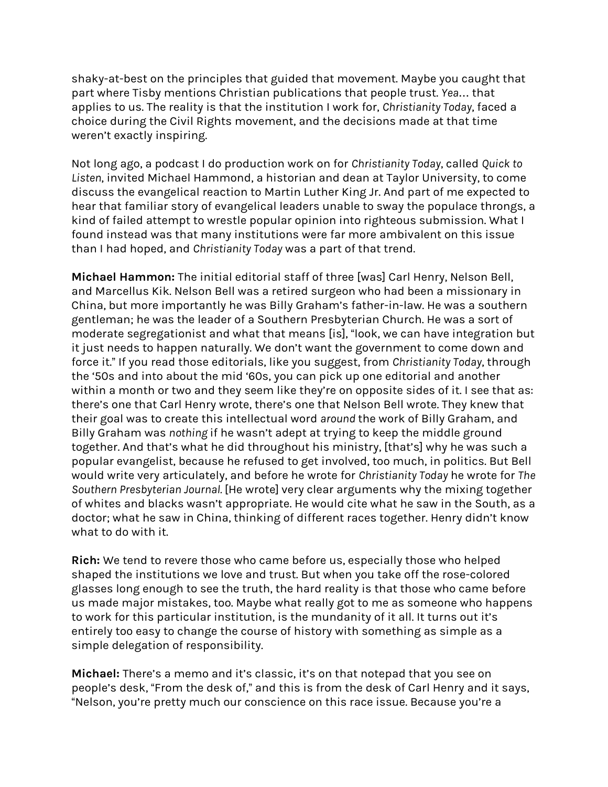shaky-at-best on the principles that guided that movement. Maybe you caught that part where Tisby mentions Christian publications that people trust. *Yea*… that applies to us. The reality is that the institution I work for, *Christianity Today*, faced a choice during the Civil Rights movement, and the decisions made at that time weren't exactly inspiring.

Not long ago, a podcast I do production work on for *Christianity Today*, called *Quick to Listen*, invited Michael Hammond, a historian and dean at Taylor University, to come discuss the evangelical reaction to Martin Luther King Jr. And part of me expected to hear that familiar story of evangelical leaders unable to sway the populace throngs, a kind of failed attempt to wrestle popular opinion into righteous submission. What I found instead was that many institutions were far more ambivalent on this issue than I had hoped, and *Christianity Today* was a part of that trend.

**Michael Hammon:** The initial editorial staff of three [was] Carl Henry, Nelson Bell, and Marcellus Kik. Nelson Bell was a retired surgeon who had been a missionary in China, but more importantly he was Billy Graham's father-in-law. He was a southern gentleman; he was the leader of a Southern Presbyterian Church. He was a sort of moderate segregationist and what that means [is], "look, we can have integration but it just needs to happen naturally. We don't want the government to come down and force it." If you read those editorials, like you suggest, from *Christianity Today*, through the '50s and into about the mid '60s, you can pick up one editorial and another within a month or two and they seem like they're on opposite sides of it. I see that as: there's one that Carl Henry wrote, there's one that Nelson Bell wrote. They knew that their goal was to create this intellectual word *around* the work of Billy Graham, and Billy Graham was *nothing* if he wasn't adept at trying to keep the middle ground together. And that's what he did throughout his ministry, [that's] why he was such a popular evangelist, because he refused to get involved, too much, in politics. But Bell would write very articulately, and before he wrote for *Christianity Today* he wrote for *The Southern Presbyterian Journal.* [He wrote] very clear arguments why the mixing together of whites and blacks wasn't appropriate. He would cite what he saw in the South, as a doctor; what he saw in China, thinking of different races together. Henry didn't know what to do with it.

**Rich:** We tend to revere those who came before us, especially those who helped shaped the institutions we love and trust. But when you take off the rose-colored glasses long enough to see the truth, the hard reality is that those who came before us made major mistakes, too. Maybe what really got to me as someone who happens to work for this particular institution, is the mundanity of it all. It turns out it's entirely too easy to change the course of history with something as simple as a simple delegation of responsibility.

**Michael:** There's a memo and it's classic, it's on that notepad that you see on people's desk, "From the desk of," and this is from the desk of Carl Henry and it says, "Nelson, you're pretty much our conscience on this race issue. Because you're a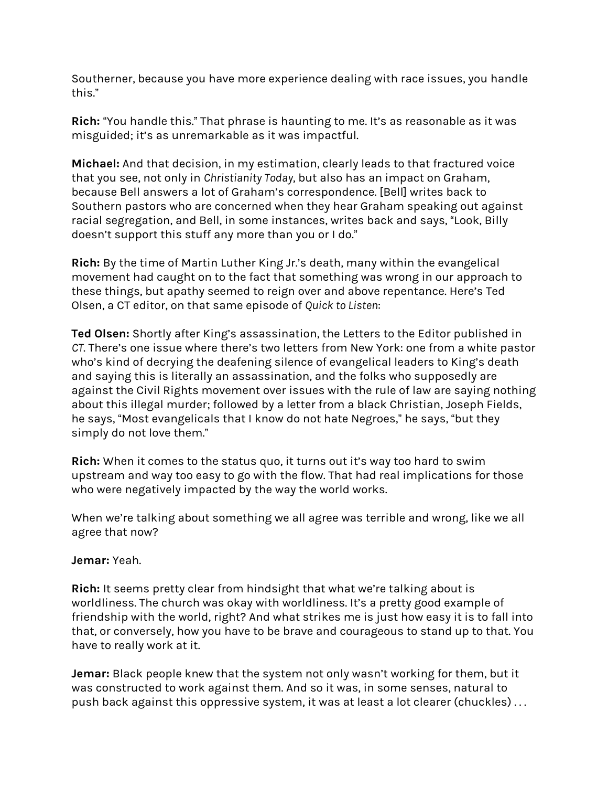Southerner, because you have more experience dealing with race issues, you handle this."

**Rich:** "You handle this." That phrase is haunting to me. It's as reasonable as it was misguided; it's as unremarkable as it was impactful.

**Michael:** And that decision, in my estimation, clearly leads to that fractured voice that you see, not only in *Christianity Today*, but also has an impact on Graham, because Bell answers a lot of Graham's correspondence. [Bell] writes back to Southern pastors who are concerned when they hear Graham speaking out against racial segregation, and Bell, in some instances, writes back and says, "Look, Billy doesn't support this stuff any more than you or I do."

**Rich:** By the time of Martin Luther King Jr.'s death, many within the evangelical movement had caught on to the fact that something was wrong in our approach to these things, but apathy seemed to reign over and above repentance. Here's Ted Olsen, a CT editor, on that same episode of *Quick to Listen*:

**Ted Olsen:** Shortly after King's assassination, the Letters to the Editor published in *CT*. There's one issue where there's two letters from New York: one from a white pastor who's kind of decrying the deafening silence of evangelical leaders to King's death and saying this is literally an assassination, and the folks who supposedly are against the Civil Rights movement over issues with the rule of law are saying nothing about this illegal murder; followed by a letter from a black Christian, Joseph Fields, he says, "Most evangelicals that I know do not hate Negroes," he says, "but they simply do not love them."

**Rich:** When it comes to the status quo, it turns out it's way too hard to swim upstream and way too easy to go with the flow. That had real implications for those who were negatively impacted by the way the world works.

When we're talking about something we all agree was terrible and wrong, like we all agree that now?

### **Jemar:** Yeah.

**Rich:** It seems pretty clear from hindsight that what we're talking about is worldliness. The church was okay with worldliness. It's a pretty good example of friendship with the world, right? And what strikes me is just how easy it is to fall into that, or conversely, how you have to be brave and courageous to stand up to that. You have to really work at it.

**Jemar:** Black people knew that the system not only wasn't working for them, but it was constructed to work against them. And so it was, in some senses, natural to push back against this oppressive system, it was at least a lot clearer (chuckles) . . .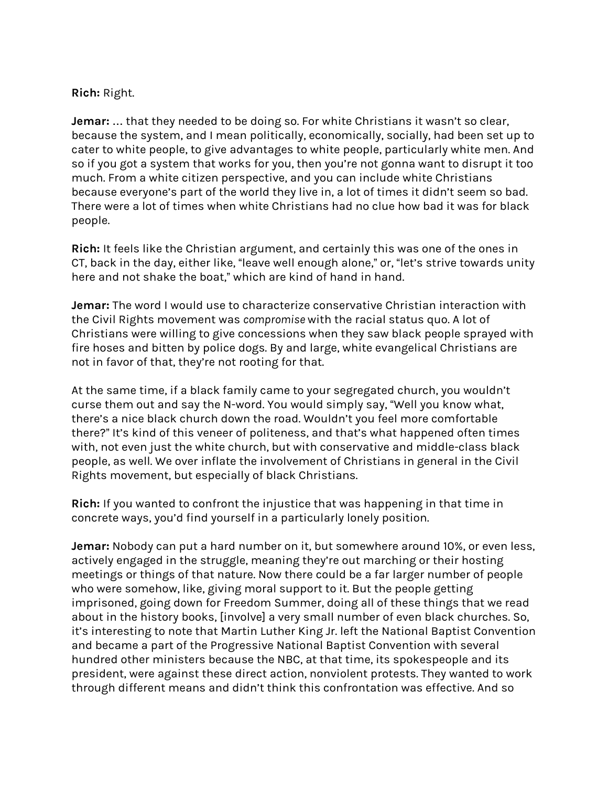### **Rich:** Right.

**Jemar:** … that they needed to be doing so. For white Christians it wasn't so clear, because the system, and I mean politically, economically, socially, had been set up to cater to white people, to give advantages to white people, particularly white men. And so if you got a system that works for you, then you're not gonna want to disrupt it too much. From a white citizen perspective, and you can include white Christians because everyone's part of the world they live in, a lot of times it didn't seem so bad. There were a lot of times when white Christians had no clue how bad it was for black people.

**Rich:** It feels like the Christian argument, and certainly this was one of the ones in CT, back in the day, either like, "leave well enough alone," or, "let's strive towards unity here and not shake the boat," which are kind of hand in hand.

**Jemar:** The word I would use to characterize conservative Christian interaction with the Civil Rights movement was *compromise* with the racial status quo. A lot of Christians were willing to give concessions when they saw black people sprayed with fire hoses and bitten by police dogs. By and large, white evangelical Christians are not in favor of that, they're not rooting for that.

At the same time, if a black family came to your segregated church, you wouldn't curse them out and say the N-word. You would simply say, "Well you know what, there's a nice black church down the road. Wouldn't you feel more comfortable there?" It's kind of this veneer of politeness, and that's what happened often times with, not even just the white church, but with conservative and middle-class black people, as well. We over inflate the involvement of Christians in general in the Civil Rights movement, but especially of black Christians.

**Rich:** If you wanted to confront the injustice that was happening in that time in concrete ways, you'd find yourself in a particularly lonely position.

**Jemar:** Nobody can put a hard number on it, but somewhere around 10%, or even less, actively engaged in the struggle, meaning they're out marching or their hosting meetings or things of that nature. Now there could be a far larger number of people who were somehow, like, giving moral support to it. But the people getting imprisoned, going down for Freedom Summer, doing all of these things that we read about in the history books, [involve] a very small number of even black churches. So, it's interesting to note that Martin Luther King Jr. left the National Baptist Convention and became a part of the Progressive National Baptist Convention with several hundred other ministers because the NBC, at that time, its spokespeople and its president, were against these direct action, nonviolent protests. They wanted to work through different means and didn't think this confrontation was effective. And so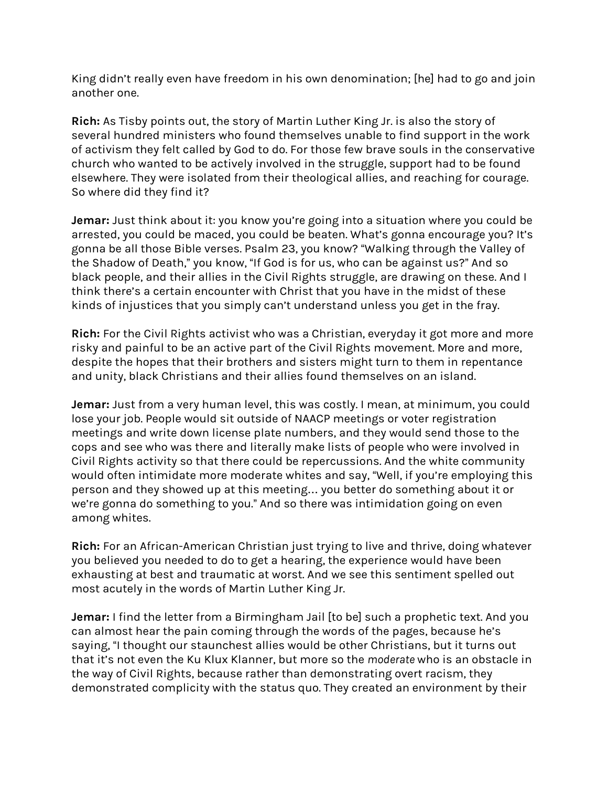King didn't really even have freedom in his own denomination; [he] had to go and join another one.

**Rich:** As Tisby points out, the story of Martin Luther King Jr. is also the story of several hundred ministers who found themselves unable to find support in the work of activism they felt called by God to do. For those few brave souls in the conservative church who wanted to be actively involved in the struggle, support had to be found elsewhere. They were isolated from their theological allies, and reaching for courage. So where did they find it?

**Jemar:** Just think about it: you know you're going into a situation where you could be arrested, you could be maced, you could be beaten. What's gonna encourage you? It's gonna be all those Bible verses. Psalm 23, you know? "Walking through the Valley of the Shadow of Death," you know, "If God is for us, who can be against us?" And so black people, and their allies in the Civil Rights struggle, are drawing on these. And I think there's a certain encounter with Christ that you have in the midst of these kinds of injustices that you simply can't understand unless you get in the fray.

**Rich:** For the Civil Rights activist who was a Christian, everyday it got more and more risky and painful to be an active part of the Civil Rights movement. More and more, despite the hopes that their brothers and sisters might turn to them in repentance and unity, black Christians and their allies found themselves on an island.

**Jemar:** Just from a very human level, this was costly. I mean, at minimum, you could lose your job. People would sit outside of NAACP meetings or voter registration meetings and write down license plate numbers, and they would send those to the cops and see who was there and literally make lists of people who were involved in Civil Rights activity so that there could be repercussions. And the white community would often intimidate more moderate whites and say, "Well, if you're employing this person and they showed up at this meeting… you better do something about it or we're gonna do something to you." And so there was intimidation going on even among whites.

**Rich:** For an African-American Christian just trying to live and thrive, doing whatever you believed you needed to do to get a hearing, the experience would have been exhausting at best and traumatic at worst. And we see this sentiment spelled out most acutely in the words of Martin Luther King Jr.

**Jemar:** I find the letter from a Birmingham Jail [to be] such a prophetic text. And you can almost hear the pain coming through the words of the pages, because he's saying, "I thought our staunchest allies would be other Christians, but it turns out that it's not even the Ku Klux Klanner, but more so the *moderate* who is an obstacle in the way of Civil Rights, because rather than demonstrating overt racism, they demonstrated complicity with the status quo. They created an environment by their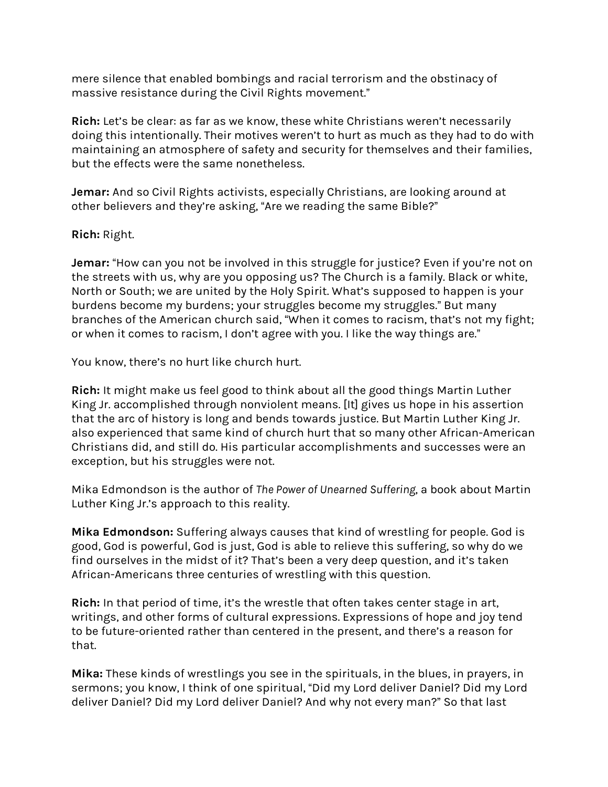mere silence that enabled bombings and racial terrorism and the obstinacy of massive resistance during the Civil Rights movement."

**Rich:** Let's be clear: as far as we know, these white Christians weren't necessarily doing this intentionally. Their motives weren't to hurt as much as they had to do with maintaining an atmosphere of safety and security for themselves and their families, but the effects were the same nonetheless.

**Jemar:** And so Civil Rights activists, especially Christians, are looking around at other believers and they're asking, "Are we reading the same Bible?"

# **Rich:** Right.

**Jemar:** "How can you not be involved in this struggle for justice? Even if you're not on the streets with us, why are you opposing us? The Church is a family. Black or white, North or South; we are united by the Holy Spirit. What's supposed to happen is your burdens become my burdens; your struggles become my struggles." But many branches of the American church said, "When it comes to racism, that's not my fight; or when it comes to racism, I don't agree with you. I like the way things are."

You know, there's no hurt like church hurt.

**Rich:** It might make us feel good to think about all the good things Martin Luther King Jr. accomplished through nonviolent means. [It] gives us hope in his assertion that the arc of history is long and bends towards justice. But Martin Luther King Jr. also experienced that same kind of church hurt that so many other African-American Christians did, and still do. His particular accomplishments and successes were an exception, but his struggles were not.

Mika Edmondson is the author of *The Power of Unearned Suffering*, a book about Martin Luther King Jr.'s approach to this reality.

**Mika Edmondson:** Suffering always causes that kind of wrestling for people. God is good, God is powerful, God is just, God is able to relieve this suffering, so why do we find ourselves in the midst of it? That's been a very deep question, and it's taken African-Americans three centuries of wrestling with this question.

**Rich:** In that period of time, it's the wrestle that often takes center stage in art, writings, and other forms of cultural expressions. Expressions of hope and joy tend to be future-oriented rather than centered in the present, and there's a reason for that.

**Mika:** These kinds of wrestlings you see in the spirituals, in the blues, in prayers, in sermons; you know, I think of one spiritual, "Did my Lord deliver Daniel? Did my Lord deliver Daniel? Did my Lord deliver Daniel? And why not every man?" So that last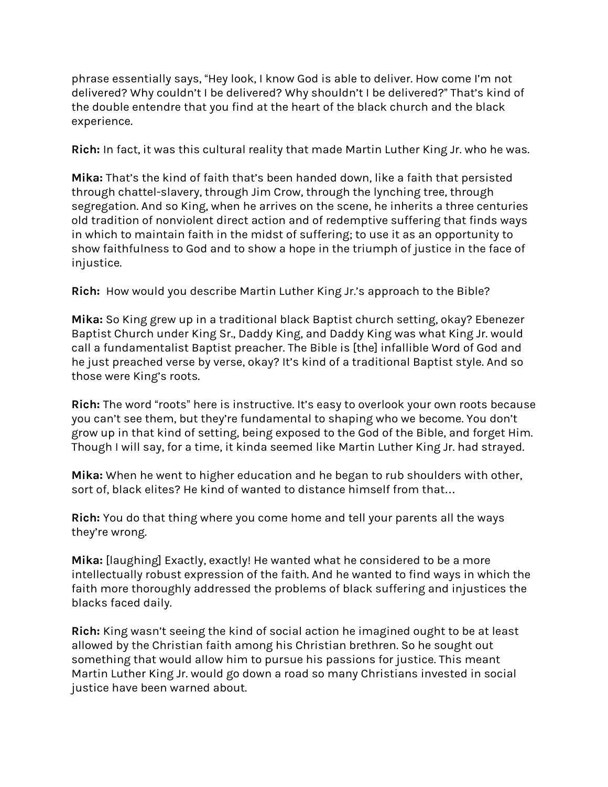phrase essentially says, "Hey look, I know God is able to deliver. How come I'm not delivered? Why couldn't I be delivered? Why shouldn't I be delivered?" That's kind of the double entendre that you find at the heart of the black church and the black experience.

**Rich:** In fact, it was this cultural reality that made Martin Luther King Jr. who he was.

**Mika:** That's the kind of faith that's been handed down, like a faith that persisted through chattel-slavery, through Jim Crow, through the lynching tree, through segregation. And so King, when he arrives on the scene, he inherits a three centuries old tradition of nonviolent direct action and of redemptive suffering that finds ways in which to maintain faith in the midst of suffering; to use it as an opportunity to show faithfulness to God and to show a hope in the triumph of justice in the face of injustice.

**Rich:** How would you describe Martin Luther King Jr.'s approach to the Bible?

**Mika:** So King grew up in a traditional black Baptist church setting, okay? Ebenezer Baptist Church under King Sr., Daddy King, and Daddy King was what King Jr. would call a fundamentalist Baptist preacher. The Bible is [the] infallible Word of God and he just preached verse by verse, okay? It's kind of a traditional Baptist style. And so those were King's roots.

**Rich:** The word "roots" here is instructive. It's easy to overlook your own roots because you can't see them, but they're fundamental to shaping who we become. You don't grow up in that kind of setting, being exposed to the God of the Bible, and forget Him. Though I will say, for a time, it kinda seemed like Martin Luther King Jr. had strayed.

**Mika:** When he went to higher education and he began to rub shoulders with other, sort of, black elites? He kind of wanted to distance himself from that…

**Rich:** You do that thing where you come home and tell your parents all the ways they're wrong.

**Mika:** [laughing] Exactly, exactly! He wanted what he considered to be a more intellectually robust expression of the faith. And he wanted to find ways in which the faith more thoroughly addressed the problems of black suffering and injustices the blacks faced daily.

**Rich:** King wasn't seeing the kind of social action he imagined ought to be at least allowed by the Christian faith among his Christian brethren. So he sought out something that would allow him to pursue his passions for justice. This meant Martin Luther King Jr. would go down a road so many Christians invested in social justice have been warned about.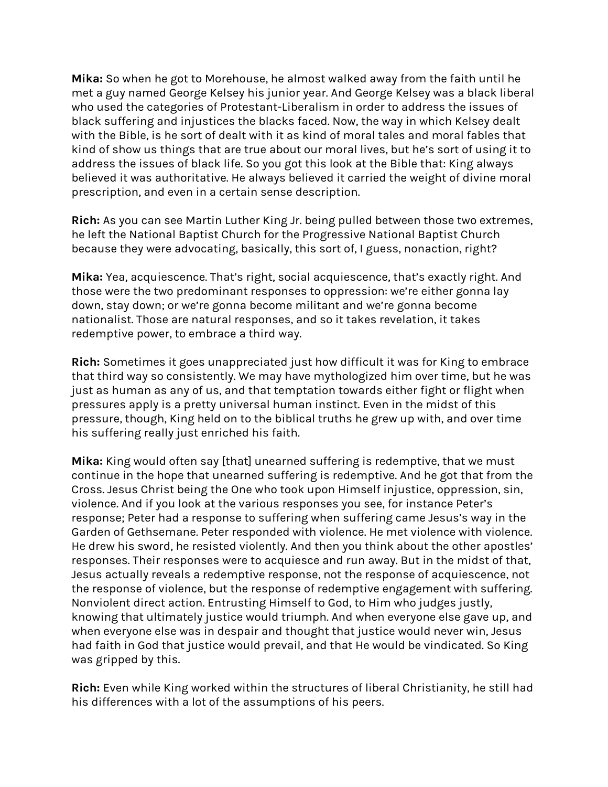**Mika:** So when he got to Morehouse, he almost walked away from the faith until he met a guy named George Kelsey his junior year. And George Kelsey was a black liberal who used the categories of Protestant-Liberalism in order to address the issues of black suffering and injustices the blacks faced. Now, the way in which Kelsey dealt with the Bible, is he sort of dealt with it as kind of moral tales and moral fables that kind of show us things that are true about our moral lives, but he's sort of using it to address the issues of black life. So you got this look at the Bible that: King always believed it was authoritative. He always believed it carried the weight of divine moral prescription, and even in a certain sense description.

**Rich:** As you can see Martin Luther King Jr. being pulled between those two extremes, he left the National Baptist Church for the Progressive National Baptist Church because they were advocating, basically, this sort of, I guess, nonaction, right?

**Mika:** Yea, acquiescence. That's right, social acquiescence, that's exactly right. And those were the two predominant responses to oppression: we're either gonna lay down, stay down; or we're gonna become militant and we're gonna become nationalist. Those are natural responses, and so it takes revelation, it takes redemptive power, to embrace a third way.

**Rich:** Sometimes it goes unappreciated just how difficult it was for King to embrace that third way so consistently. We may have mythologized him over time, but he was just as human as any of us, and that temptation towards either fight or flight when pressures apply is a pretty universal human instinct. Even in the midst of this pressure, though, King held on to the biblical truths he grew up with, and over time his suffering really just enriched his faith.

**Mika:** King would often say [that] unearned suffering is redemptive, that we must continue in the hope that unearned suffering is redemptive. And he got that from the Cross. Jesus Christ being the One who took upon Himself injustice, oppression, sin, violence. And if you look at the various responses you see, for instance Peter's response; Peter had a response to suffering when suffering came Jesus's way in the Garden of Gethsemane. Peter responded with violence. He met violence with violence. He drew his sword, he resisted violently. And then you think about the other apostles' responses. Their responses were to acquiesce and run away. But in the midst of that, Jesus actually reveals a redemptive response, not the response of acquiescence, not the response of violence, but the response of redemptive engagement with suffering. Nonviolent direct action. Entrusting Himself to God, to Him who judges justly, knowing that ultimately justice would triumph. And when everyone else gave up, and when everyone else was in despair and thought that justice would never win, Jesus had faith in God that justice would prevail, and that He would be vindicated. So King was gripped by this.

**Rich:** Even while King worked within the structures of liberal Christianity, he still had his differences with a lot of the assumptions of his peers.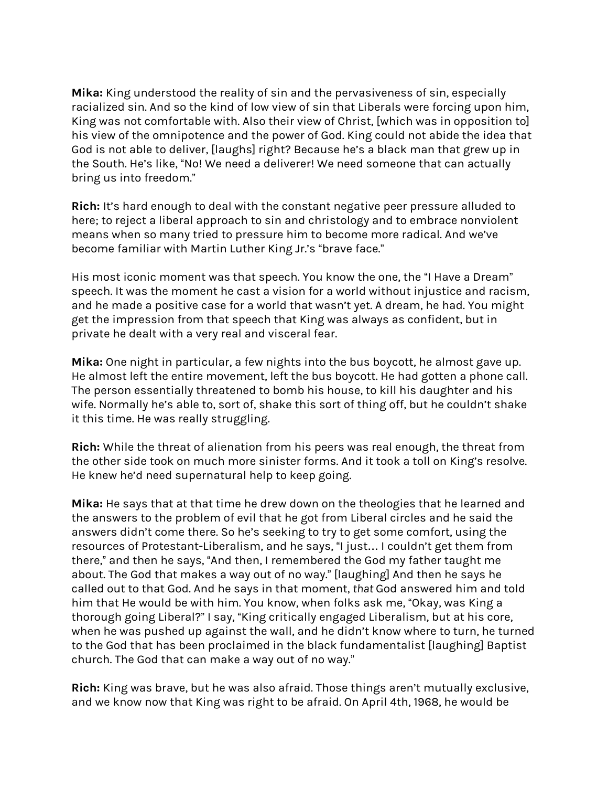**Mika:** King understood the reality of sin and the pervasiveness of sin, especially racialized sin. And so the kind of low view of sin that Liberals were forcing upon him, King was not comfortable with. Also their view of Christ, [which was in opposition to] his view of the omnipotence and the power of God. King could not abide the idea that God is not able to deliver, [laughs] right? Because he's a black man that grew up in the South. He's like, "No! We need a deliverer! We need someone that can actually bring us into freedom."

**Rich:** It's hard enough to deal with the constant negative peer pressure alluded to here; to reject a liberal approach to sin and christology and to embrace nonviolent means when so many tried to pressure him to become more radical. And we've become familiar with Martin Luther King Jr.'s "brave face."

His most iconic moment was that speech. You know the one, the "I Have a Dream" speech. It was the moment he cast a vision for a world without injustice and racism, and he made a positive case for a world that wasn't yet. A dream, he had. You might get the impression from that speech that King was always as confident, but in private he dealt with a very real and visceral fear.

**Mika:** One night in particular, a few nights into the bus boycott, he almost gave up. He almost left the entire movement, left the bus boycott. He had gotten a phone call. The person essentially threatened to bomb his house, to kill his daughter and his wife. Normally he's able to, sort of, shake this sort of thing off, but he couldn't shake it this time. He was really struggling.

**Rich:** While the threat of alienation from his peers was real enough, the threat from the other side took on much more sinister forms. And it took a toll on King's resolve. He knew he'd need supernatural help to keep going.

**Mika:** He says that at that time he drew down on the theologies that he learned and the answers to the problem of evil that he got from Liberal circles and he said the answers didn't come there. So he's seeking to try to get some comfort, using the resources of Protestant-Liberalism, and he says, "I just… I couldn't get them from there," and then he says, "And then, I remembered the God my father taught me about. The God that makes a way out of no way." [laughing] And then he says he called out to that God. And he says in that moment, *that* God answered him and told him that He would be with him. You know, when folks ask me, "Okay, was King a thorough going Liberal?" I say, "King critically engaged Liberalism, but at his core, when he was pushed up against the wall, and he didn't know where to turn, he turned to the God that has been proclaimed in the black fundamentalist [laughing] Baptist church. The God that can make a way out of no way."

**Rich:** King was brave, but he was also afraid. Those things aren't mutually exclusive, and we know now that King was right to be afraid. On April 4th, 1968, he would be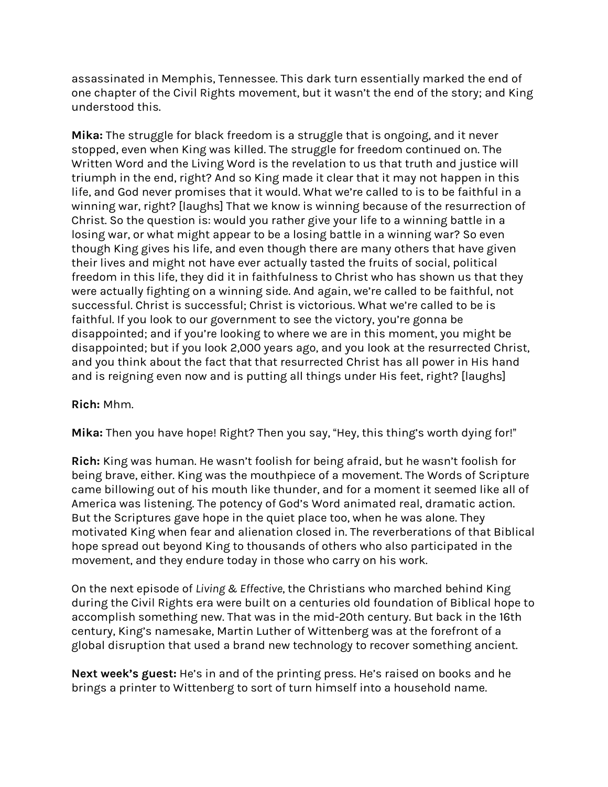assassinated in Memphis, Tennessee. This dark turn essentially marked the end of one chapter of the Civil Rights movement, but it wasn't the end of the story; and King understood this.

**Mika:** The struggle for black freedom is a struggle that is ongoing, and it never stopped, even when King was killed. The struggle for freedom continued on. The Written Word and the Living Word is the revelation to us that truth and justice will triumph in the end, right? And so King made it clear that it may not happen in this life, and God never promises that it would. What we're called to is to be faithful in a winning war, right? [laughs] That we know is winning because of the resurrection of Christ. So the question is: would you rather give your life to a winning battle in a losing war, or what might appear to be a losing battle in a winning war? So even though King gives his life, and even though there are many others that have given their lives and might not have ever actually tasted the fruits of social, political freedom in this life, they did it in faithfulness to Christ who has shown us that they were actually fighting on a winning side. And again, we're called to be faithful, not successful. Christ is successful; Christ is victorious. What we're called to be is faithful. If you look to our government to see the victory, you're gonna be disappointed; and if you're looking to where we are in this moment, you might be disappointed; but if you look 2,000 years ago, and you look at the resurrected Christ, and you think about the fact that that resurrected Christ has all power in His hand and is reigning even now and is putting all things under His feet, right? [laughs]

### **Rich:** Mhm.

**Mika:** Then you have hope! Right? Then you say, "Hey, this thing's worth dying for!"

**Rich:** King was human. He wasn't foolish for being afraid, but he wasn't foolish for being brave, either. King was the mouthpiece of a movement. The Words of Scripture came billowing out of his mouth like thunder, and for a moment it seemed like all of America was listening. The potency of God's Word animated real, dramatic action. But the Scriptures gave hope in the quiet place too, when he was alone. They motivated King when fear and alienation closed in. The reverberations of that Biblical hope spread out beyond King to thousands of others who also participated in the movement, and they endure today in those who carry on his work.

On the next episode of *Living & Effective*, the Christians who marched behind King during the Civil Rights era were built on a centuries old foundation of Biblical hope to accomplish something new. That was in the mid-20th century. But back in the 16th century, King's namesake, Martin Luther of Wittenberg was at the forefront of a global disruption that used a brand new technology to recover something ancient.

**Next week's guest:** He's in and of the printing press. He's raised on books and he brings a printer to Wittenberg to sort of turn himself into a household name.